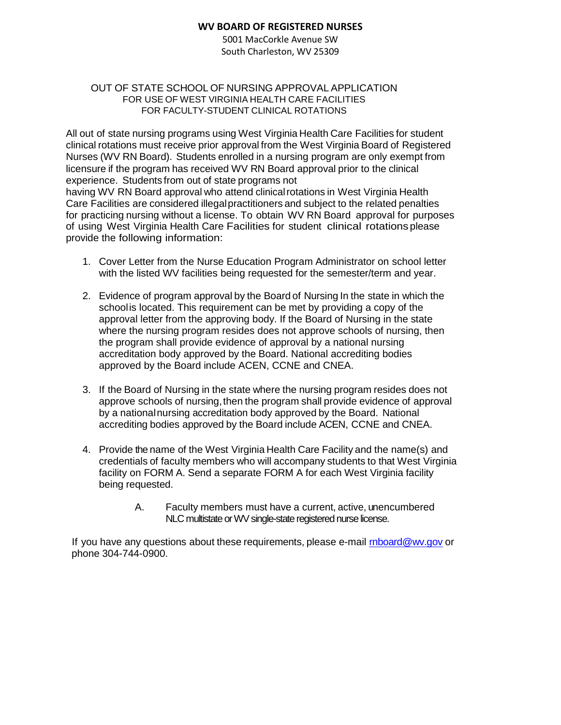## **WV BOARD OF REGISTERED NURSES**

5001 MacCorkle Avenue SW South Charleston, WV 25309

## OUT OF STATE SCHOOL OF NURSING APPROVAL APPLICATION FOR USE OF WEST VIRGINIA HEALTH CARE FACILITIES FOR FACULTY-STUDENT CLINICAL ROTATIONS

All out of state nursing programs using West Virginia Health Care Facilities for student clinical rotations must receive prior approval from the West Virginia Board of Registered Nurses (WV RN Board). Students enrolled in a nursing program are only exempt from licensure if the program has received WV RN Board approval prior to the clinical experience. Students from out of state programs not

having WV RN Board approval who attend clinical rotations in West Virginia Health Care Facilities are considered illegalpractitioners and subject to the related penalties for practicing nursing without a license. To obtain WV RN Board approval for purposes of using West Virginia Health Care Facilities for student clinical rotationsplease provide the following information:

- 1. Cover Letter from the Nurse Education Program Administrator on school letter with the listed WV facilities being requested for the semester/term and year.
- 2. Evidence of program approval by the Board of Nursing In the state in which the schoolis located. This requirement can be met by providing a copy of the approval letter from the approving body. If the Board of Nursing in the state where the nursing program resides does not approve schools of nursing, then the program shall provide evidence of approval by a national nursing accreditation body approved by the Board. National accrediting bodies approved by the Board include ACEN, CCNE and CNEA.
- 3. If the Board of Nursing in the state where the nursing program resides does not approve schools of nursing, then the program shall provide evidence of approval by a nationalnursing accreditation body approved by the Board. National accrediting bodies approved by the Board include ACEN, CCNE and CNEA.
- 4. Provide the name of the West Virginia Health Care Facility and the name(s) and credentials of faculty members who will accompany students to that West Virginia facility on FORM A. Send a separate FORM A for each West Virginia facility being requested.
	- A. Faculty members must have a current, active, unencumbered NLC multistate or WV single-state registered nurse license.

If you have any questions about these requirements, please e-mail [rnboard@wv.gov](mailto:rnboard@wv.gov) or phone 304-744-0900.